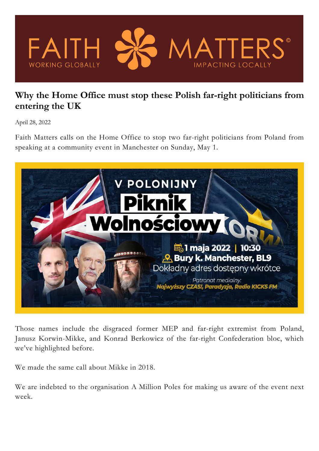

## **Why the Home Office must stop these Polish far-right politicians from entering the UK**

April 28, 2022

Faith Matters calls on the Home Office to stop two far-right politicians from Poland from speaking at a community event in Manchester on Sunday, May 1.



Those names include the disgraced former MEP and far-right extremist from Poland, Janusz Korwin-Mikke, and Konrad Berkowicz of the far-right Confederation bloc, which we've highlighted before.

We made the same call about Mikke in 2018.

We are indebted to the organisation A Million Poles for making us aware of the event next week.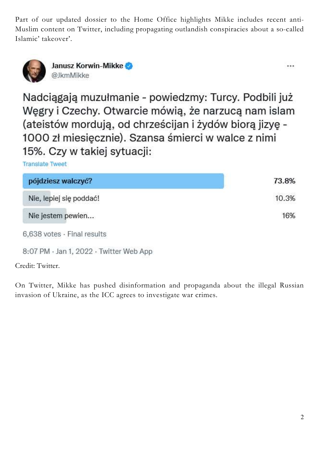Part of our updated dossier to the Home Office highlights Mikke includes recent anti-Muslim content on Twitter, including propagating outlandish conspiracies about a so-called Islamic' takeover'.



Janusz Korwin-Mikke @JkmMikke

Nadciągają muzułmanie - powiedzmy: Turcy. Podbili już Węgry i Czechy. Otwarcie mówią, że narzucą nam islam (ateistów mordują, od chrześcijan i żydów biorą jizyę -1000 zł miesięcznie). Szansa śmierci w walce z nimi 15%. Czy w takiej sytuacji:

**Translate Tweet** 

| pójdziesz walczyć?          | 73.8% |
|-----------------------------|-------|
| Nie, lepiej się poddać!     | 10.3% |
| Nie jestem pewien           | 16%   |
| 6,638 votes · Final results |       |

8:07 PM · Jan 1, 2022 · Twitter Web App

Credit: Twitter.

On Twitter, Mikke has pushed disinformation and propaganda about the illegal Russian invasion of Ukraine, as the ICC agrees to investigate war crimes.

...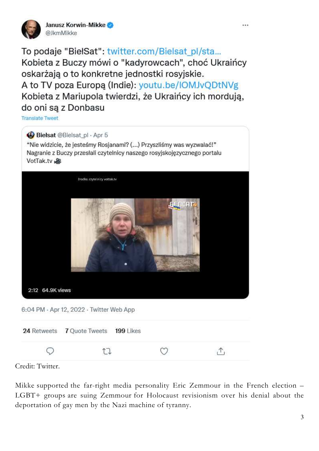

Janusz Korwin-Mikke @JkmMikke

To podaje "BiełSat": twitter.com/Bielsat pl/sta... Kobieta z Buczy mówi o "kadyrowcach", choć Ukraińcy oskarżają o to konkretne jednostki rosyjskie. A to TV poza Europa (Indie): youtu.be/IOMJvQDtNVg Kobieta z Mariupola twierdzi, że Ukraińcy ich mordują, do oni sa z Donbasu

**Translate Tweet** 

## Bielsat @Bielsat\_pl · Apr 5

"Nie widzicie, że jesteśmy Rosjanami? (...) Przyszliśmy was wyzwalać!" Nagranie z Buczy przesłali czytelnicy naszego rosyjskojęzycznego portalu VotTak.tv

|                  | źrodło: czytelnicy vottak.tv             |                 |     |
|------------------|------------------------------------------|-----------------|-----|
| 2:12 64.9K views | 6:04 PM - Apr 12, 2022 - Twitter Web App | <b>GEJICAT.</b> |     |
| 24 Retweets      | 7 Quote Tweets 199 Likes                 |                 |     |
|                  |                                          |                 | ,Υ, |

Credit: Twitter.

Mikke supported the far-right media personality Eric Zemmour in the French election – LGBT+ groups are suing Zemmour for Holocaust revisionism over his denial about the deportation of gay men by the Nazi machine of tyranny.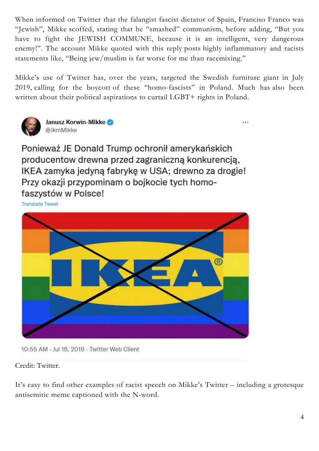When informed on Twitter that the falangist fascist dictator of Spain, Franciso Franco was "Jewish", Mikke scoffed, stating that he "smashed" communism, before adding, "But you have to fight the JEWISH COMMUNE, because it is an intelligent, very dangerous enemy!". The account Mikke quoted with this reply posts highly inflammatory and racists statements like, "Being jew/muslim is far worse for me than racemixing."

Mikke's use of Twitter has, over the years, targeted the Swedish furniture giant in July 2019, calling for the boycott of these "homo-fascists" in Poland. Much has also been written about their political aspirations to curtail LGBT+ rights in Poland.

...



Janusz Korwin-Mikke @JkmMikke

Ponieważ JE Donald Trump ochronił amerykańskich producentow drewna przed zagraniczną konkurencją, IKEA zamyka jedyną fabrykę w USA; drewno za drogie! Przy okazji przypominam o bojkocie tych homofaszystów w Polsce!

**Translate Tweet** 



10:55 AM · Jul 18, 2019 · Twitter Web Client

Credit: Twitter.

It's easy to find other examples of racist speech on Mikke's Twitter – including a grotesque antisemitic meme captioned with the N-word.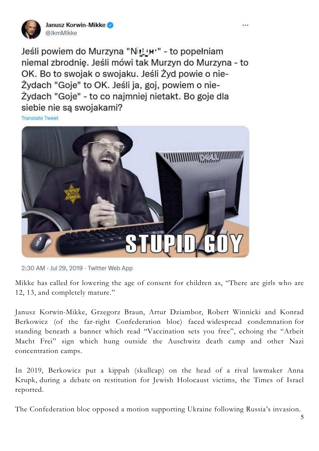

Janusz Korwin-Mikke @JkmMikke

Jeśli powiem do Murzyna "Nittur" - to popełniam niemal zbrodnie. Jeśli mówi tak Murzyn do Murzyna - to OK. Bo to swojak o swojaku. Jeśli Żyd powie o nie-Żydach "Goje" to OK. Jeśli ja, goj, powiem o nie-Żydach "Goje" - to co najmniej nietakt. Bo goje dla siebie nie są swojakami?

**Translate Tweet** 



2:30 AM · Jul 29, 2019 · Twitter Web App

Mikke has called for lowering the age of consent for children as, "There are girls who are 12, 13, and completely mature."

Janusz Korwin-Mikke, Grzegorz Braun, Artur Dziambor, Robert Winnicki and Konrad Berkowicz (of the far-right Confederation bloc) faced widespread condemnation for standing beneath a banner which read "Vaccination sets you free", echoing the "Arbeit Macht Frei" sign which hung outside the Auschwitz death camp and other Nazi concentration camps.

In 2019, Berkowicz put a kippah (skullcap) on the head of a rival lawmaker Anna Krupk, during a debate on restitution for Jewish Holocaust victims, the Times of Israel reported.

The Confederation bloc opposed a motion supporting Ukraine following Russia's invasion.